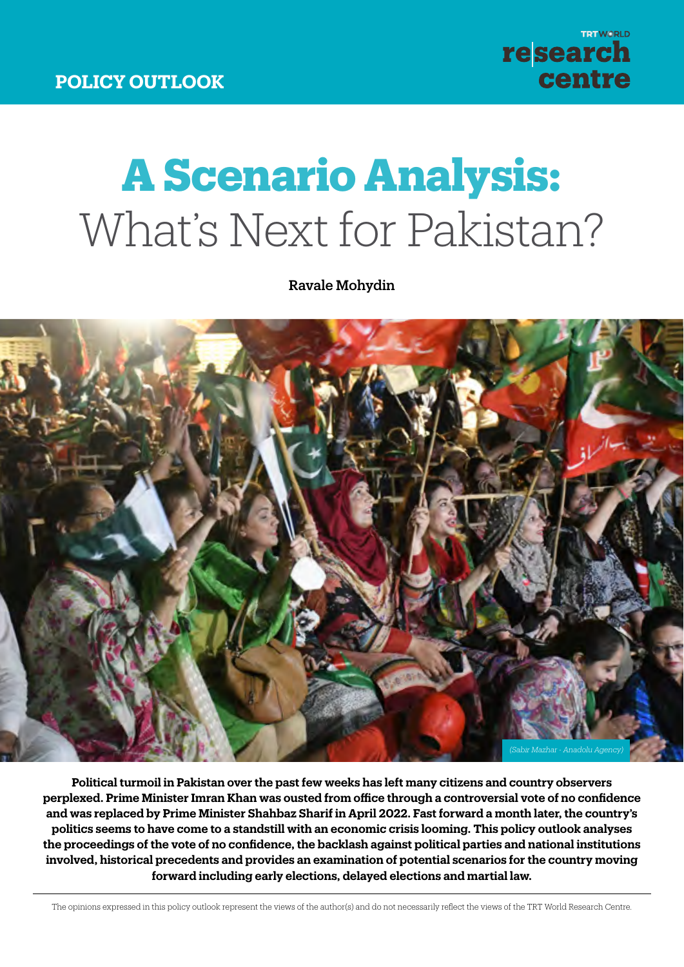**DISCUSSION PAPER**

# **A Scenario Analysis:** What's Next for Pakistan?

Ravale Mohydin



**Political turmoil in Pakistan over the past few weeks has left many citizens and country observers perplexed. Prime Minister Imran Khan was ousted from office through a controversial vote of no confidence and was replaced by Prime Minister Shahbaz Sharif in April 2022. Fast forward a month later, the country's politics seems to have come to a standstill with an economic crisis looming. This policy outlook analyses the proceedings of the vote of no confidence, the backlash against political parties and national institutions involved, historical precedents and provides an examination of potential scenarios for the country moving forward including early elections, delayed elections and martial law.**

The opinions expressed in this policy outlook represent the views of the author(s) and do not necessarily reflect the views of the TRT World Research Centre.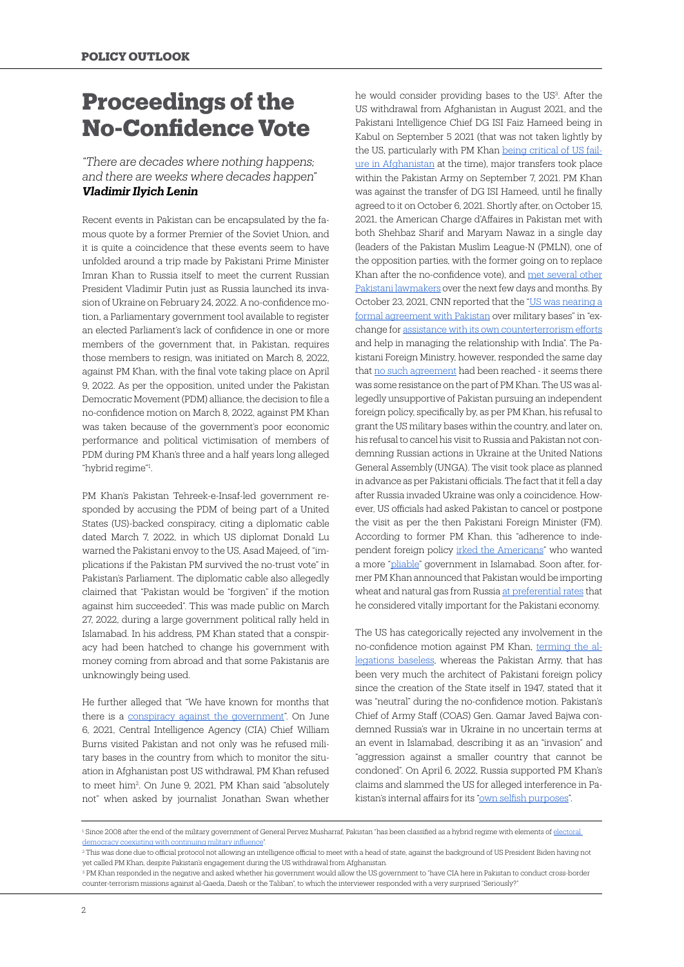# **Proceedings of the No-Confidence Vote**

#### *"There are decades where nothing happens; and there are weeks where decades happen" Vladimir Ilyich Lenin*

Recent events in Pakistan can be encapsulated by the famous quote by a former Premier of the Soviet Union, and it is quite a coincidence that these events seem to have unfolded around a trip made by Pakistani Prime Minister Imran Khan to Russia itself to meet the current Russian President Vladimir Putin just as Russia launched its invasion of Ukraine on February 24, 2022. A no-confidence motion, a Parliamentary government tool available to register an elected Parliament's lack of confidence in one or more members of the government that, in Pakistan, requires those members to resign, was initiated on March 8, 2022, against PM Khan, with the final vote taking place on April 9, 2022. As per the opposition, united under the Pakistan Democratic Movement (PDM) alliance, the decision to file a no-confidence motion on March 8, 2022, against PM Khan was taken because of the government's poor economic performance and political victimisation of members of PDM during PM Khan's three and a half years long alleged "hybrid regime"1 .

PM Khan's Pakistan Tehreek-e-Insaf-led government responded by accusing the PDM of being part of a United States (US)-backed conspiracy, citing a diplomatic cable dated March 7, 2022, in which US diplomat Donald Lu warned the Pakistani envoy to the US, Asad Majeed, of "implications if the Pakistan PM survived the no-trust vote" in Pakistan's Parliament. The diplomatic cable also allegedly claimed that "Pakistan would be "forgiven" if the motion against him succeeded". This was made public on March 27, 2022, during a large government political rally held in Islamabad. In his address, PM Khan stated that a conspiracy had been hatched to change his government with money coming from abroad and that some Pakistanis are unknowingly being used.

He further alleged that "We have known for months that there is a [conspiracy against the government](https://www.dawn.com/news/1682104)". On June 6, 2021, Central Intelligence Agency (CIA) Chief William Burns visited Pakistan and not only was he refused military bases in the country from which to monitor the situation in Afghanistan post US withdrawal, PM Khan refused to meet him2 . On June 9, 2021, PM Khan said "absolutely not" when asked by journalist Jonathan Swan whether

he would consider providing bases to the US<sup>3</sup>. After the US withdrawal from Afghanistan in August 2021, and the Pakistani Intelligence Chief DG ISI Faiz Hameed being in Kabul on September 5 2021 (that was not taken lightly by the US, particularly with PM Khan [being critical of US fail](https://www.bbc.com/news/world-asia-61047736)[ure in Afghanistan](https://www.bbc.com/news/world-asia-61047736) at the time), major transfers took place within the Pakistan Army on September 7, 2021. PM Khan was against the transfer of DG ISI Hameed, until he finally agreed to it on October 6, 2021. Shortly after, on October 15, 2021, the American Charge d'Affaires in Pakistan met with both Shehbaz Sharif and Maryam Nawaz in a single day (leaders of the Pakistan Muslim League-N (PMLN), one of the opposition parties, with the former going on to replace Khan after the no-confidence vote), and [met several other](https://www.youtube.com/watch?v=pqHb4LSmepg&ab_channel=ARYNews) [Pakistani lawmakers](https://www.youtube.com/watch?v=pqHb4LSmepg&ab_channel=ARYNews) over the next few days and months. By October 23, 2021, CNN reported that the "[US was nearing a](https://edition.cnn.com/2021/10/22/politics/us-pakistan-afghanistan-airspace/index.html) [formal agreement with Pakistan](https://edition.cnn.com/2021/10/22/politics/us-pakistan-afghanistan-airspace/index.html) over military bases" in "exchange for [assistance with its own counterterrorism efforts](https://edition.cnn.com/2021/10/22/politics/us-pakistan-afghanistan-airspace/index.html) and help in managing the relationship with India". The Pakistani Foreign Ministry, however, responded the same day that [no such agreement](https://mofa.gov.pk/press-release-476/) had been reached - it seems there was some resistance on the part of PM Khan. The US was allegedly unsupportive of Pakistan pursuing an independent foreign policy, specifically by, as per PM Khan, his refusal to grant the US military bases within the country, and later on, his refusal to cancel his visit to Russia and Pakistan not condemning Russian actions in Ukraine at the United Nations General Assembly (UNGA). The visit took place as planned in advance as per Pakistani officials. The fact that it fell a day after Russia invaded Ukraine was only a coincidence. However, US officials had asked Pakistan to cancel or postpone the visit as per the then Pakistani Foreign Minister (FM). According to former PM Khan, this "adherence to independent foreign policy [irked the Americans](https://thediplomat.com/2022/04/imran-khans-us-conspiracy-theory-a-close-examination/)" who wanted a more ["pliable"](https://thediplomat.com/2022/04/imran-khans-us-conspiracy-theory-a-close-examination/) government in Islamabad. Soon after, former PM Khan announced that Pakistan would be importing wheat and natural gas from Russia [at preferential rates](https://www.voanews.com/a/khan-after-putin-visit-pakistan-to-import-wheat-gas-from-russia-/6463734.html) that he considered vitally important for the Pakistani economy.

The US has categorically rejected any involvement in the no-confidence motion against PM Khan, [terming the al](https://www.theguardian.com/world/2022/mar/31/imran-khan-address-pakistan-faces-no-confidence-vote)[legations baseless,](https://www.theguardian.com/world/2022/mar/31/imran-khan-address-pakistan-faces-no-confidence-vote) whereas the Pakistan Army, that has been very much the architect of Pakistani foreign policy since the creation of the State itself in 1947, stated that it was "neutral" during the no-confidence motion. Pakistan's Chief of Army Staff (COAS) Gen. Qamar Javed Bajwa condemned Russia's war in Ukraine in no uncertain terms at an event in Islamabad, describing it as an "invasion" and "aggression against a smaller country that cannot be condoned". On April 6, 2022, Russia supported PM Khan's claims and slammed the US for alleged interference in Pa-kistan's internal affairs for its ["own selfish purposes"](https://www.thenews.com.pk/print/947779-russia-slams-us-attempt-at-interference-in-pakistan-affairs).

<sup>&</sup>lt;sup>1</sup> Since 2008 after the end of the military government of General Pervez Musharraf, Pakistan "has been classified as a hybrid regime with elements of <u>electoral</u> [democracy coexisting with continuing military influence](https://www.taylorfrancis.com/chapters/oa-edit/10.4324/9781003042211-15/pakistan-hybrid-regime-ian-talbot)".

<sup>2</sup> This was done due to official protocol not allowing an intelligence official to meet with a head of state, against the background of US President Biden having not yet called PM Khan, despite Pakistan's engagement during the US withdrawal from Afghanistan.

<sup>&</sup>lt;sup>3</sup> PM Khan responded in the negative and asked whether his government would allow the US government to "have CIA here in Pakistan to conduct cross-border counter-terrorism missions against al-Qaeda, Daesh or the Taliban", to which the interviewer responded with a very surprised "Seriously?"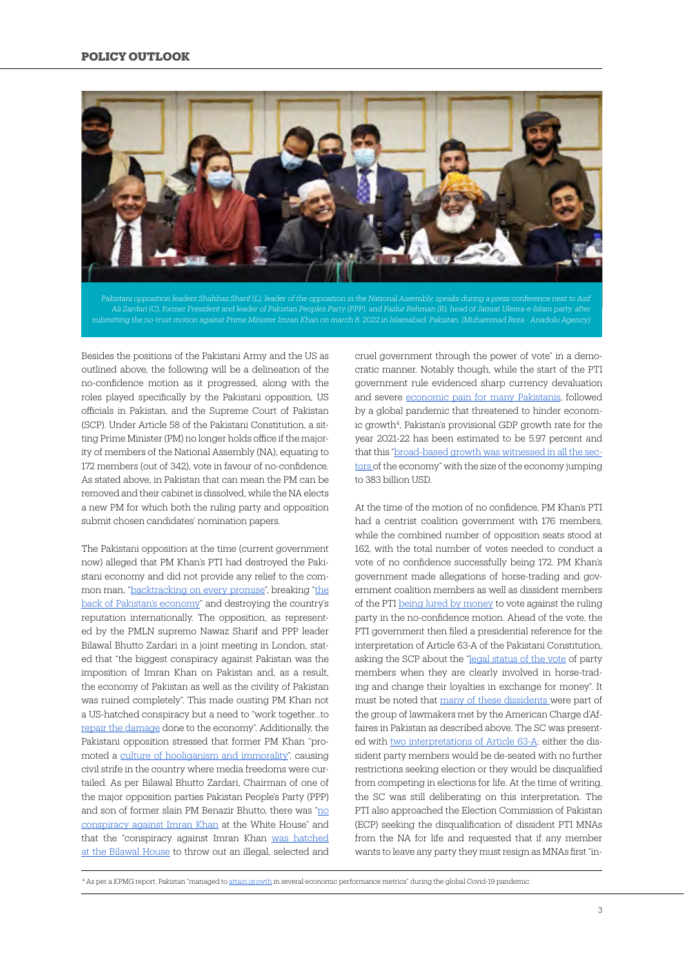

*Pakistani opposition leaders Shahbaz Sharif (L), leader of the opposition in the National Assembly, speaks during a press conference next to Asif Ali Zardari (C), former President and leader of Pakistan People's Party (PPP), and Fazlur Rehman (R), head of Jamiat Ulema-e-Islam party, after* 

Besides the positions of the Pakistani Army and the US as outlined above, the following will be a delineation of the no-confidence motion as it progressed, along with the roles played specifically by the Pakistani opposition, US officials in Pakistan, and the Supreme Court of Pakistan (SCP). Under Article 58 of the Pakistani Constitution, a sitting Prime Minister (PM) no longer holds office if the majority of members of the National Assembly (NA), equating to 172 members (out of 342), vote in favour of no-confidence. As stated above, in Pakistan that can mean the PM can be removed and their cabinet is dissolved, while the NA elects a new PM for which both the ruling party and opposition submit chosen candidates' nomination papers.

The Pakistani opposition at the time (current government now) alleged that PM Khan's PTI had destroyed the Pakistani economy and did not provide any relief to the common man, "[backtracking on every promise](https://www.thenews.com.pk/print/952202-imran-broke-back-of-pakistan-s-economy-nawaz)", breaking ["the](https://www.thenews.com.pk/print/952202-imran-broke-back-of-pakistan-s-economy-nawaz) [back of Pakistan's economy](https://www.thenews.com.pk/print/952202-imran-broke-back-of-pakistan-s-economy-nawaz)" and destroying the country's reputation internationally. The opposition, as represented by the PMLN supremo Nawaz Sharif and PPP leader Bilawal Bhutto Zardari in a joint meeting in London, stated that "the biggest conspiracy against Pakistan was the imposition of Imran Khan on Pakistan and, as a result, the economy of Pakistan as well as the civility of Pakistan was ruined completely". This made ousting PM Khan not a US-hatched conspiracy but a need to "work together…to [repair the damage](https://www.thenews.com.pk/print/952202-imran-broke-back-of-pakistan-s-economy-nawaz) done to the economy". Additionally, the Pakistani opposition stressed that former PM Khan "promoted a [culture of hooliganism and immorality"](https://www.thenews.com.pk/print/952202-imran-broke-back-of-pakistan-s-economy-nawaz), causing civil strife in the country where media freedoms were curtailed. As per Bilawal Bhutto Zardari, Chairman of one of the major opposition parties Pakistan People's Party (PPP) and son of former slain PM Benazir Bhutto, there was "[no](https://www.thenews.com.pk/print/952202-imran-broke-back-of-pakistan-s-economy-nawaz) [conspiracy against Imran Khan](https://www.thenews.com.pk/print/952202-imran-broke-back-of-pakistan-s-economy-nawaz) at the White House" and that the "conspiracy against Imran Khan [was hatched](https://www.thenews.com.pk/print/952202-imran-broke-back-of-pakistan-s-economy-nawaz) [at the Bilawal House](https://www.thenews.com.pk/print/952202-imran-broke-back-of-pakistan-s-economy-nawaz) to throw out an illegal, selected and

cruel government through the power of vote" in a democratic manner. Notably though, while the start of the PTI government rule evidenced sharp currency devaluation and severe [economic pain for many Pakistanis,](https://www.reuters.com/article/us-pakistan-economy-idUSKCN1RG0GS) followed by a global pandemic that threatened to hinder economic growth<sup>4</sup>, Pakistan's provisional GDP growth rate for the year 2021-22 has been estimated to be 5.97 percent and that this ["broad-based growth was witnessed in all the sec](https://www.business-standard.com/article/international/pakistan-logs-6-growth-in-fy22-economy-s-size-jumps-to-383-billion-122052000063_1.html)[tors o](https://www.business-standard.com/article/international/pakistan-logs-6-growth-in-fy22-economy-s-size-jumps-to-383-billion-122052000063_1.html)f the economy" with the size of the economy jumping to 383 billion USD.

At the time of the motion of no confidence, PM Khan's PTI had a centrist coalition government with 176 members, while the combined number of opposition seats stood at 162, with the total number of votes needed to conduct a vote of no confidence successfully being 172. PM Khan's government made allegations of horse-trading and government coalition members as well as dissident members of the PTI [being lured by money](https://www.dawn.com/news/1680567) to vote against the ruling party in the no-confidence motion. Ahead of the vote, the PTI government then filed a presidential reference for the interpretation of Article 63-A of the Pakistani Constitution, asking the SCP about the "[legal status of the vote](https://www.dawn.com/news/1685945) of party members when they are clearly involved in horse-trading and change their loyalties in exchange for money". It must be noted that [many of these dissidents w](https://www.youtube.com/watch?v=pqHb4LSmepg&ab_channel=ARYNews)ere part of the group of lawmakers met by the American Charge d'Affaires in Pakistan as described above. The SC was presented with [two interpretations of Article 63-A:](https://www.geo.tv/latest/406491-what-does-the-reference-to-the-supreme-court-on-article-63a-say) either the dissident party members would be de-seated with no further restrictions seeking election or they would be disqualified from competing in elections for life. At the time of writing, the SC was still deliberating on this interpretation. The PTI also approached the Election Commission of Pakistan (ECP) seeking the disqualification of dissident PTI MNAs from the NA for life and requested that if any member wants to leave any party they must resign as MNAs first "in-

<sup>&</sup>lt;sup>4</sup> As per a KPMG report, Pakistan "managed to [attain growth](https://home.kpmg/pk/en/home/insights/2020/05/impact-of-covid-19-on-pakistan-economy.html) in several economic performance metrics" during the global Covid-19 pandemic.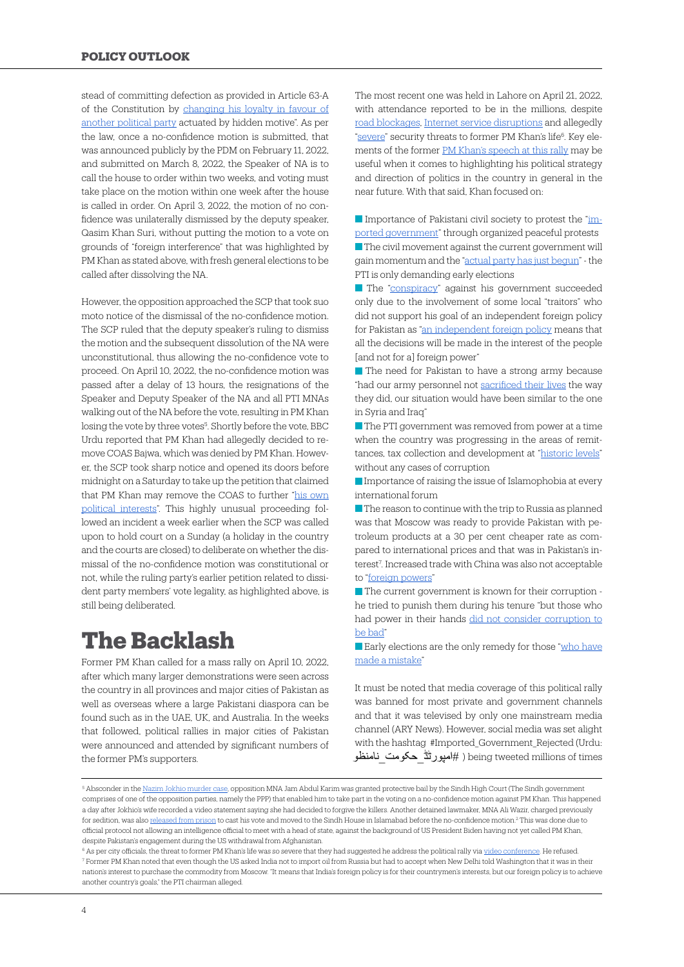stead of committing defection as provided in Article 63-A of the Constitution by [changing his loyalty in favour of](https://www.khaleejtimes.com/asia/pakistan-pti-dissidents-dismiss-references-seeking-their-disqualification) [another political party](https://www.khaleejtimes.com/asia/pakistan-pti-dissidents-dismiss-references-seeking-their-disqualification) actuated by hidden motive". As per the law, once a no-confidence motion is submitted, that was announced publicly by the PDM on February 11, 2022, and submitted on March 8, 2022, the Speaker of NA is to call the house to order within two weeks, and voting must take place on the motion within one week after the house is called in order. On April 3, 2022, the motion of no confidence was unilaterally dismissed by the deputy speaker, Qasim Khan Suri, without putting the motion to a vote on grounds of "foreign interference" that was highlighted by PM Khan as stated above, with fresh general elections to be called after dissolving the NA.

However, the opposition approached the SCP that took suo moto notice of the dismissal of the no-confidence motion. The SCP ruled that the deputy speaker's ruling to dismiss the motion and the subsequent dissolution of the NA were unconstitutional, thus allowing the no-confidence vote to proceed. On April 10, 2022, the no-confidence motion was passed after a delay of 13 hours, the resignations of the Speaker and Deputy Speaker of the NA and all PTI MNAs walking out of the NA before the vote, resulting in PM Khan losing the vote by three votes<sup>5</sup>. Shortly before the vote, BBC Urdu reported that PM Khan had allegedly decided to remove COAS Bajwa, which was denied by PM Khan. However, the SCP took sharp notice and opened its doors before midnight on a Saturday to take up the petition that claimed that PM Khan may remove the COAS to further ["his own](https://www.samaaenglish.tv/news/2022/04/supreme-court-opens-at-midnight/) [political interests](https://www.samaaenglish.tv/news/2022/04/supreme-court-opens-at-midnight/)". This highly unusual proceeding followed an incident a week earlier when the SCP was called upon to hold court on a Sunday (a holiday in the country and the courts are closed) to deliberate on whether the dismissal of the no-confidence motion was constitutional or not, while the ruling party's earlier petition related to dissident party members' vote legality, as highlighted above, is still being deliberated.

### **The Backlash**

Former PM Khan called for a mass rally on April 10, 2022, after which many larger demonstrations were seen across the country in all provinces and major cities of Pakistan as well as overseas where a large Pakistani diaspora can be found such as in the UAE, UK, and Australia. In the weeks that followed, political rallies in major cities of Pakistan were announced and attended by significant numbers of the former PM's supporters.

The most recent one was held in Lahore on April 21, 2022, with attendance reported to be in the millions, despite [road blockages,](https://www.globalvillagespace.com/pti-pulls-massive-crowd-at-minar-e-pakistan/) [Internet service disruptions](https://www.globalvillagespace.com/internet-services-to-be-disrupted-on-the-morning-of-pti-lahore-jalsa/) and allegedly ["severe](https://www.24newshd.tv/20-Apr-2022/life-threats-dc-stops-imran-khan-to-appear-in-lahore-jalsa)" security threats to former PM Khan's life<sup>6</sup>. Key elements of the former [PM Khan's speech at this rally](https://www.youtube.com/watch?v=7HPEJv_eLGQ&ab_channel=ARYNews) may be useful when it comes to highlighting his political strategy and direction of politics in the country in general in the near future. With that said, Khan focused on:

Importance of Pakistani civil society to protest the ["im](https://www.thenews.com.pk/print/952325-only-one-way-for-those-who-made-mistake-hold-polls-imran)[ported government"](https://www.thenews.com.pk/print/952325-only-one-way-for-those-who-made-mistake-hold-polls-imran) through organized peaceful protests  $\blacksquare$  The civil movement against the current government will gain momentum and the ["actual party has just begun](https://www.thenews.com.pk/print/952325-only-one-way-for-those-who-made-mistake-hold-polls-imran)" - the PTI is only demanding early elections

The ["conspiracy](https://www.thenews.com.pk/print/952325-only-one-way-for-those-who-made-mistake-hold-polls-imran)" against his government succeeded only due to the involvement of some local "traitors" who did not support his goal of an independent foreign policy for Pakistan as ["an independent foreign policy](https://www.thenews.com.pk/print/952325-only-one-way-for-those-who-made-mistake-hold-polls-imran) means that all the decisions will be made in the interest of the people [and not for a] foreign power"

The need for Pakistan to have a strong army because "had our army personnel not [sacrificed their lives](https://www.thenews.com.pk/print/952325-only-one-way-for-those-who-made-mistake-hold-polls-imran) the way they did, our situation would have been similar to the one in Syria and Iraq"

 $\blacksquare$  The PTI government was removed from power at a time when the country was progressing in the areas of remittances, tax collection and development at "[historic levels"](https://www.thenews.com.pk/print/952325-only-one-way-for-those-who-made-mistake-hold-polls-imran) without any cases of corruption

Importance of raising the issue of Islamophobia at every international forum

The reason to continue with the trip to Russia as planned was that Moscow was ready to provide Pakistan with petroleum products at a 30 per cent cheaper rate as compared to international prices and that was in Pakistan's interest7 . Increased trade with China was also not acceptable to ["foreign powers](https://www.thenews.com.pk/print/952325-only-one-way-for-those-who-made-mistake-hold-polls-imran)"

The current government is known for their corruption he tried to punish them during his tenure "but those who had power in their hands [did not consider corruption to](https://www.thenews.com.pk/print/952325-only-one-way-for-those-who-made-mistake-hold-polls-imranthose%20who%20had%20power%20in%20their%20hands%20did%20not%20consider%20corruption%20to%20be%20bad) [be bad"](https://www.thenews.com.pk/print/952325-only-one-way-for-those-who-made-mistake-hold-polls-imranthose%20who%20had%20power%20in%20their%20hands%20did%20not%20consider%20corruption%20to%20be%20bad)

Early elections are the only remedy for those ["who have](https://www.thenews.com.pk/print/952325-only-one-way-for-those-who-made-mistake-hold-polls-imran) [made a mistake"](https://www.thenews.com.pk/print/952325-only-one-way-for-those-who-made-mistake-hold-polls-imran)

It must be noted that media coverage of this political rally was banned for most private and government channels and that it was televised by only one mainstream media channel (ARY News). However, social media was set alight with the hashtag #Imported\_Government\_Rejected (Urdu: being tweeted millions of times ( #امپورٹڈ \_حکومت \_نامنظو

<sup>&</sup>lt;sup>5</sup> Absconder in the <u>Nazim Jokhio murder case,</u> opposition MNA Jam Abdul Karim was granted protective bail by the Sindh High Court (The Sindh government comprises of one of the opposition parties, namely the PPP) that enabled him to take part in the voting on a no-confidence motion against PM Khan. This happened a day after Jokhio's wife recorded a video statement saying she had decided to forgive the killers. Another detained lawmaker, MNA Ali Wazir, charged previously for sedition, was also <u>[released from prison](https://www.samaaenglish.tv/news/2022/04/mohsin-dawar-supreme-court-ali-wazirs-production-order-no-confidence-motion/)</u> to cast his vote and moved to the Sindh House in Islamabad before the no-confidence motion.<sup>2</sup> This was done due to official protocol not allowing an intelligence official to meet with a head of state, against the background of US President Biden having not yet called PM Khan, despite Pakistan's engagement during the US withdrawal from Afghanistan.

<sup>&</sup>lt;sup>6</sup> As per city officials, the threat to former PM Khan's life was so severe that they had suggested he address the political rally via [video conference.](https://www.24newshd.tv/20-Apr-2022/life-threats-dc-stops-imran-khan-to-appear-in-lahore-jalsa) He refused. 7 Former PM Khan noted that even though the US asked India not to import oil from Russia but had to accept when New Delhi told Washington that it was in their nation's interest to purchase the commodity from Moscow. "It means that India's foreign policy is for their countrymen's interests, but our foreign policy is to achieve another country's goals," the PTI chairman alleged.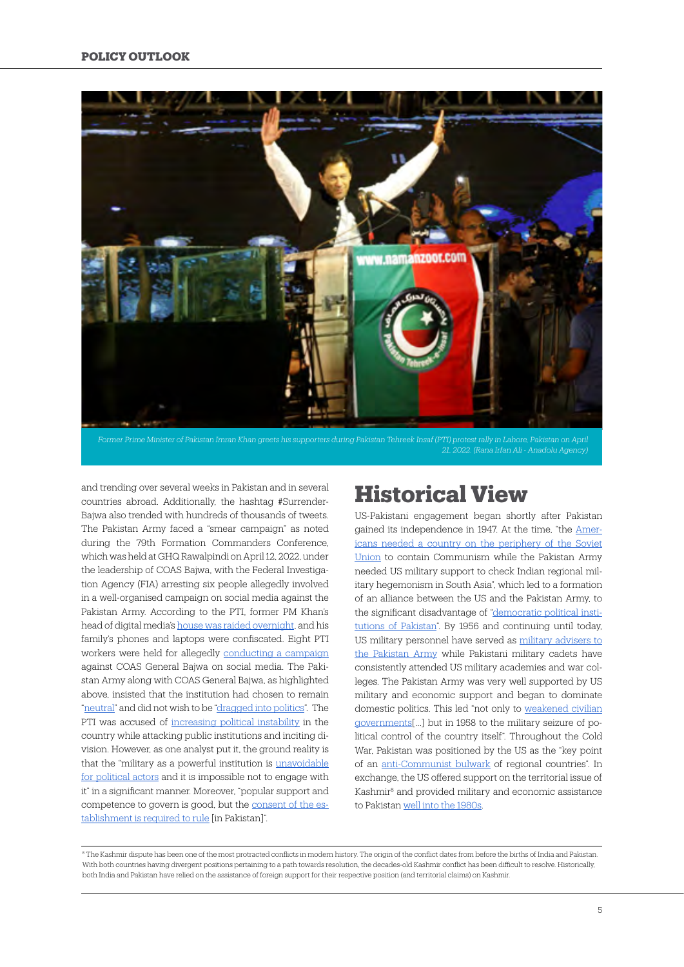

*21, 2022. (Rana Irfan Ali - Anadolu Agency)*

and trending over several weeks in Pakistan and in several countries abroad. Additionally, the hashtag #Surrender-Bajwa also trended with hundreds of thousands of tweets. The Pakistan Army faced a "smear campaign" as noted during the 79th Formation Commanders Conference, which was held at GHQ Rawalpindi on April 12, 2022, under the leadership of COAS Bajwa, with the Federal Investigation Agency (FIA) arresting six people allegedly involved in a well-organised campaign on social media against the Pakistan Army. According to the PTI, former PM Khan's head of digital media's [house was raided overnight](https://tribune.com.pk/story/2351842/home-of-ex-pms-digital-media-guru-raided), and his family's phones and laptops were confiscated. Eight PTI workers were held for allegedly [conducting a campaign](https://www.thehindu.com/news/international/eight-social-media-activists-of-imran-khans-party-held-for-campaign-against-pakistan-army-chief/article65316162.ece) against COAS General Bajwa on social media. The Pakistan Army along with COAS General Bajwa, as highlighted above, insisted that the institution had chosen to remain ["neutral"](https://tribune.com.pk/story/2355678/dont-drag-military-into-politics-warns-ispr) and did not wish to be ["dragged into politics"](https://tribune.com.pk/story/2355678/dont-drag-military-into-politics-warns-ispr). The PTI was accused of [increasing political instability](https://www.dawn.com/news/1680076) in the country while attacking public institutions and inciting division. However, as one analyst put it, the ground reality is that the "military as a powerful institution is [unavoidable](https://theprint.in/opinion/why-imran-khan-blamed-the-us-for-his-downfall-and-not-pakistan-army/924063/) [for political actors](https://theprint.in/opinion/why-imran-khan-blamed-the-us-for-his-downfall-and-not-pakistan-army/924063/) and it is impossible not to engage with it" in a significant manner. Moreover, "popular support and competence to govern is good, but the [consent of the es](https://theprint.in/opinion/why-imran-khan-blamed-the-us-for-his-downfall-and-not-pakistan-army/924063/)[tablishment is required to rule](https://theprint.in/opinion/why-imran-khan-blamed-the-us-for-his-downfall-and-not-pakistan-army/924063/) [in Pakistan]".

#### **Historical View**

US-Pakistani engagement began shortly after Pakistan gained its independence in 1947. At the time, "the [Amer](https://era.ed.ac.uk/bitstream/handle/1842/4280/Soherwordi2010.pdf?sequence=3&isAllowed=y)[icans needed a country on the periphery of the Soviet](https://era.ed.ac.uk/bitstream/handle/1842/4280/Soherwordi2010.pdf?sequence=3&isAllowed=y) [Union](https://era.ed.ac.uk/bitstream/handle/1842/4280/Soherwordi2010.pdf?sequence=3&isAllowed=y) to contain Communism while the Pakistan Army needed US military support to check Indian regional military hegemonism in South Asia", which led to a formation of an alliance between the US and the Pakistan Army, to the significant disadvantage of ["democratic political insti](https://era.ed.ac.uk/bitstream/handle/1842/4280/Soherwordi2010.pdf?sequence=3&isAllowed=y)[tutions of Pakistan](https://era.ed.ac.uk/bitstream/handle/1842/4280/Soherwordi2010.pdf?sequence=3&isAllowed=y)". By 1956 and continuing until today, US military personnel have served as [military advisers to](https://www.reuters.com/article/us-usa-pakistan/u-s-to-resume-military-training-program-for-pakistan-state-department-idUSKBN1YO03S) [the Pakistan Army](https://www.reuters.com/article/us-usa-pakistan/u-s-to-resume-military-training-program-for-pakistan-state-department-idUSKBN1YO03S) while Pakistani military cadets have consistently attended US military academies and war colleges. The Pakistan Army was very well supported by US military and economic support and began to dominate domestic politics. This led "not only to weakened civilian governments[…] but in 1958 to the military seizure of political control of the country itself". Throughout the Cold War, Pakistan was positioned by the US as the "key point of an [anti-Communist bulwark](https://journal.kureselcalismalar.com/quarterly/four-vantage-points-foreign-policy-and-the-news-coverage-of-the-kashmir-dispute/) of regional countries". In exchange, the US offered support on the territorial issue of Kashmir8 and provided military and economic assistance to Pakistan [well into the 1980s](https://www.brookings.edu/blog/unpacked/2018/01/12/the-future-of-u-s-pakistani-relations/).

<sup>8</sup> The Kashmir dispute has been one of the most protracted conflicts in modern history. The origin of the conflict dates from before the births of India and Pakistan. With both countries having divergent positions pertaining to a path towards resolution, the decades-old Kashmir conflict has been difficult to resolve. Historically, both India and Pakistan have relied on the assistance of foreign support for their respective position (and territorial claims) on Kashmir.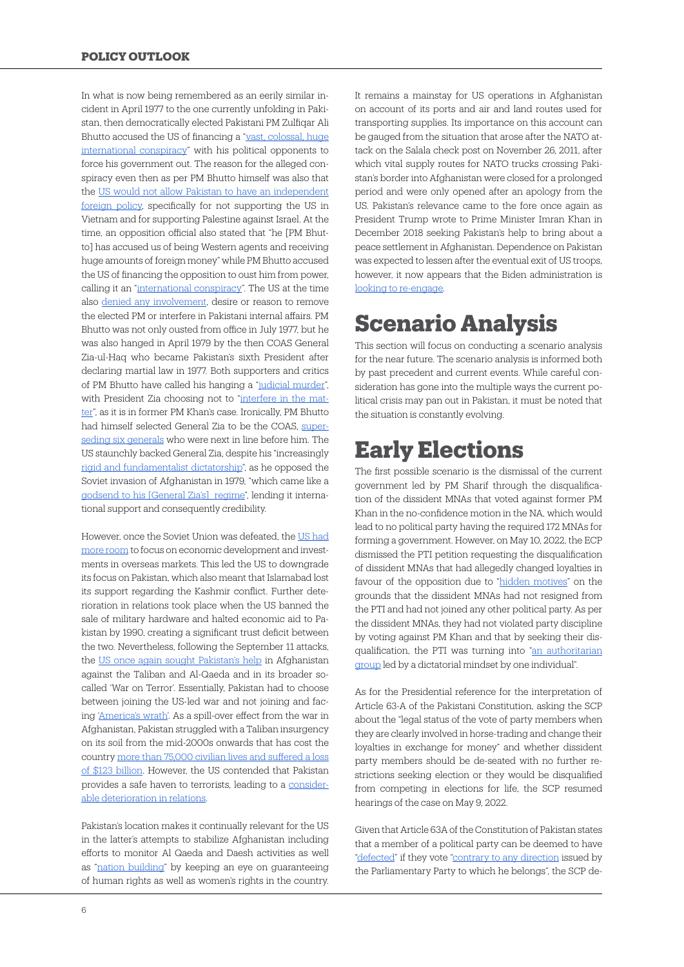In what is now being remembered as an eerily similar incident in April 1977 to the one currently unfolding in Pakistan, then democratically elected Pakistani PM Zulfiqar Ali Bhutto accused the US of financing a ["vast, colossal, huge](https://www.washingtonpost.com/archive/politics/1977/04/29/pakistani-alleges-us-plot/becbabce-1330-49e5-9bf7-33653a23f133/) [international conspiracy](https://www.washingtonpost.com/archive/politics/1977/04/29/pakistani-alleges-us-plot/becbabce-1330-49e5-9bf7-33653a23f133/)" with his political opponents to force his government out. The reason for the alleged conspiracy even then as per PM Bhutto himself was also that the [US would not allow Pakistan to have an independent](https://www.washingtonpost.com/archive/politics/1977/04/29/pakistani-alleges-us-plot/becbabce-1330-49e5-9bf7-33653a23f133/) [foreign policy](https://www.washingtonpost.com/archive/politics/1977/04/29/pakistani-alleges-us-plot/becbabce-1330-49e5-9bf7-33653a23f133/), specifically for not supporting the US in Vietnam and for supporting Palestine against Israel. At the time, an opposition official also stated that "he [PM Bhutto] has accused us of being Western agents and receiving huge amounts of foreign money" while PM Bhutto accused the US of financing the opposition to oust him from power, calling it an ["international conspiracy](https://www.washingtonpost.com/archive/politics/1977/04/29/pakistani-alleges-us-plot/becbabce-1330-49e5-9bf7-33653a23f133/)". The US at the time also [denied any involvement,](https://www.washingtonpost.com/archive/politics/1977/04/29/pakistani-alleges-us-plot/becbabce-1330-49e5-9bf7-33653a23f133/) desire or reason to remove the elected PM or interfere in Pakistani internal affairs. PM Bhutto was not only ousted from office in July 1977, but he was also hanged in April 1979 by the then COAS General Zia-ul-Haq who became Pakistan's sixth President after declaring martial law in 1977. Both supporters and critics of PM Bhutto have called his hanging a ["judicial murder"](https://www.thenews.com.pk/tns/detail/638921-why-zia-hanged-bhutto), with President Zia choosing not to ["interfere in the mat](https://www.dawn.com/news/1160422)[ter](https://www.dawn.com/news/1160422)", as it is in former PM Khan's case. Ironically, PM Bhutto had himself selected General Zia to be the COAS, [super](https://www.thenews.com.pk/tns/detail/638921-why-zia-hanged-bhutto)[seding six generals](https://www.thenews.com.pk/tns/detail/638921-why-zia-hanged-bhutto) who were next in line before him. The US staunchly backed General Zia, despite his "increasingly [rigid and fundamentalist dictatorship"](https://www.csmonitor.com/1981/0729/072940.html), as he opposed the Soviet invasion of Afghanistan in 1979, "which came like a [godsend to his \[General Zia's\] regime](https://www.csmonitor.com/1981/0729/072940.html)", lending it international support and consequently credibility.

However, once the Soviet Union was defeated, the [US had](https://www.brookings.edu/essay/the-long-game-chinas-grand-strategy-to-displace-american-order/) [more room](https://www.brookings.edu/essay/the-long-game-chinas-grand-strategy-to-displace-american-order/) to focus on economic development and investments in overseas markets. This led the US to downgrade its focus on Pakistan, which also meant that Islamabad lost its support regarding the Kashmir conflict. Further deterioration in relations took place when the US banned the sale of military hardware and halted economic aid to Pakistan by 1990, creating a significant trust deficit between the two. Nevertheless, following the September 11 attacks, the [US once again sought Pakistan's help](https://www.brookings.edu/blog/unpacked/2018/01/12/the-future-of-u-s-pakistani-relations/) in Afghanistan against the Taliban and Al-Qaeda and in its broader socalled 'War on Terror'. Essentially, Pakistan had to choose between joining the US-led war and not joining and facing ['America's wrath'](https://www.researchgate.net/profile/Ashley-Tellis-2/publication/237810665_Pakistan_and_the_War_on_Terror_Conflicted_Goals_Compromised_Performance/links/5ae33356aca272fdaf904ca1/Pakistan-and-the-War-on-Terror-Conflicted-Goals-Compromised-Performance.pdf). As a spill-over effect from the war in Afghanistan, Pakistan struggled with a Taliban insurgency on its soil from the mid-2000s onwards that has cost the country [more than 75,000 civilian lives and suffered a loss](https://journal.kureselcalismalar.com/quarterly/four-vantage-points-foreign-policy-and-the-news-coverage-of-the-kashmir-dispute/) [of \\$123 billion](https://journal.kureselcalismalar.com/quarterly/four-vantage-points-foreign-policy-and-the-news-coverage-of-the-kashmir-dispute/). However, the US contended that Pakistan provides a safe haven to terrorists, leading to a [consider](https://www.brookings.edu/blog/unpacked/2018/01/12/the-future-of-u-s-pakistani-relations/)[able deterioration in relations](https://www.brookings.edu/blog/unpacked/2018/01/12/the-future-of-u-s-pakistani-relations/).

Pakistan's location makes it continually relevant for the US in the latter's attempts to stabilize Afghanistan including efforts to monitor Al Qaeda and Daesh activities as well as "[nation building"](https://www.washingtonpost.com/outlook/2021/08/21/afghanistan-biden-obama-bush/) by keeping an eye on guaranteeing of human rights as well as women's rights in the country. It remains a mainstay for US operations in Afghanistan on account of its ports and air and land routes used for transporting supplies. Its importance on this account can be gauged from the situation that arose after the NATO attack on the Salala check post on November 26, 2011, after which vital supply routes for NATO trucks crossing Pakistan's border into Afghanistan were closed for a prolonged period and were only opened after an apology from the US. Pakistan's relevance came to the fore once again as President Trump wrote to Prime Minister Imran Khan in December 2018 seeking Pakistan's help to bring about a peace settlement in Afghanistan. Dependence on Pakistan was expected to lessen after the eventual exit of US troops, however, it now appears that the Biden administration is [looking to re-engage.](https://www.dawn.com/news/1688405)

# **Scenario Analysis**

This section will focus on conducting a scenario analysis for the near future. The scenario analysis is informed both by past precedent and current events. While careful consideration has gone into the multiple ways the current political crisis may pan out in Pakistan, it must be noted that the situation is constantly evolving.

# **Early Elections**

The first possible scenario is the dismissal of the current government led by PM Sharif through the disqualification of the dissident MNAs that voted against former PM Khan in the no-confidence motion in the NA, which would lead to no political party having the required 172 MNAs for forming a government. However, on May 10, 2022, the ECP dismissed the PTI petition requesting the disqualification of dissident MNAs that had allegedly changed loyalties in favour of the opposition due to "[hidden motives"](https://www.khaleejtimes.com/asia/pakistan-pti-dissidents-dismiss-references-seeking-their-disqualification) on the grounds that the dissident MNAs had not resigned from the PTI and had not joined any other political party. As per the dissident MNAs, they had not violated party discipline by voting against PM Khan and that by seeking their disqualification, the PTI was turning into ["an authoritarian](https://www.khaleejtimes.com/asia/pakistan-pti-dissidents-dismiss-references-seeking-their-disqualification) [group](https://www.khaleejtimes.com/asia/pakistan-pti-dissidents-dismiss-references-seeking-their-disqualification) led by a dictatorial mindset by one individual".

As for the Presidential reference for the interpretation of Article 63-A of the Pakistani Constitution, asking the SCP about the "legal status of the vote of party members when they are clearly involved in horse-trading and change their loyalties in exchange for money" and whether dissident party members should be de-seated with no further restrictions seeking election or they would be disqualified from competing in elections for life, the SCP resumed hearings of the case on May 9, 2022.

Given that Article 63A of the Constitution of Pakistan states that a member of a political party can be deemed to have ["defected"](https://pakistani.org/pakistan/constitution/amendments/14amendment.html) if they vote ["contrary to any direction](https://pakistani.org/pakistan/constitution/amendments/14amendment.html) issued by the Parliamentary Party to which he belongs", the SCP de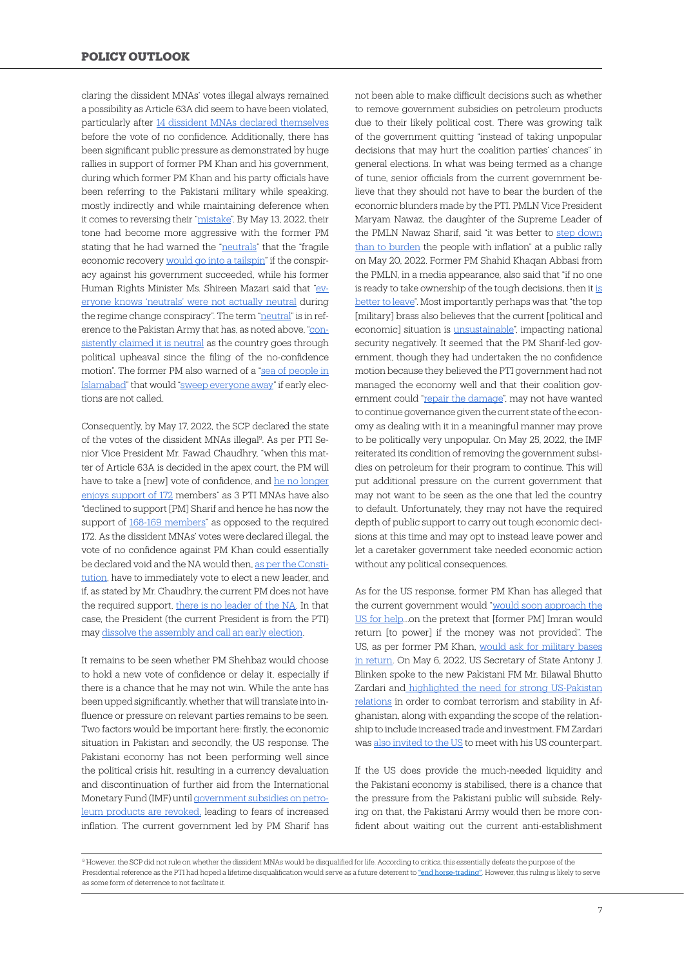claring the dissident MNAs' votes illegal always remained a possibility as Article 63A did seem to have been violated, particularly after [14 dissident MNAs declared themselves](https://www.geo.tv/latest/406156-pti-issues-show-cause-notices-to-14-dissident-mps) before the vote of no confidence. Additionally, there has been significant public pressure as demonstrated by huge rallies in support of former PM Khan and his government, during which former PM Khan and his party officials have been referring to the Pakistani military while speaking, mostly indirectly and while maintaining deference when it comes to reversing their ["mistake](https://www.youtube.com/watch?v=7HPEJv_eLGQ)". By May 13, 2022, their tone had become more aggressive with the former PM stating that he had warned the ["neutrals](https://www.dawn.com/news/1689474/had-warned-neutrals-of-economic-tailspin-if-conspiracy-against-pti-govt-succeeded-imran)" that the "fragile economic recovery [would go into a tailspin"](https://www.dawn.com/news/1689474/had-warned-neutrals-of-economic-tailspin-if-conspiracy-against-pti-govt-succeeded-imran) if the conspiracy against his government succeeded, while his former Human Rights Minister Ms. Shireen Mazari said that ["ev](https://www.dawn.com/news/1689481/everyone-knows-neutrals-were-not-actually-neutral-during-regime-change-conspiracy-mazari)[eryone knows 'neutrals' were not actually neutral](https://www.dawn.com/news/1689481/everyone-knows-neutrals-were-not-actually-neutral-during-regime-change-conspiracy-mazari) during the regime change conspiracy". The term "[neutral](https://www.dawn.com/news/1689481/everyone-knows-neutrals-were-not-actually-neutral-during-regime-change-conspiracy-mazari)" is in ref-erence to the Pakistan Army that has, as noted above, ["con](https://www.dawn.com/news/1689481/everyone-knows-neutrals-were-not-actually-neutral-during-regime-change-conspiracy-mazari)[sistently claimed it is neutral](https://www.dawn.com/news/1689481/everyone-knows-neutrals-were-not-actually-neutral-during-regime-change-conspiracy-mazari) as the country goes through political upheaval since the filing of the no-confidence motion". The former PM also warned of a ["sea of people in](https://www.dawn.com/news/1689489/sea-of-people-in-islamabad-to-sweep-everyone-away-if-elections-not-announced-imran) [Islamabad"](https://www.dawn.com/news/1689489/sea-of-people-in-islamabad-to-sweep-everyone-away-if-elections-not-announced-imran) that would ["sweep everyone away](https://www.dawn.com/news/1689489/sea-of-people-in-islamabad-to-sweep-everyone-away-if-elections-not-announced-imran)" if early elections are not called.

Consequently, by May 17, 2022, the SCP declared the state of the votes of the dissident MNAs illegal<sup>9</sup>. As per PTI Senior Vice President Mr. Fawad Chaudhry, "when this matter of Article 63A is decided in the apex court, the PM will have to take a [new] vote of confidence, and [he no longer](https://www.thenews.com.pk/print/955786-25-mpas-ouster-to-send-hamza-govt-packing-fawad) [enjoys support of 172](https://www.thenews.com.pk/print/955786-25-mpas-ouster-to-send-hamza-govt-packing-fawad) members" as 3 PTI MNAs have also "declined to support [PM] Sharif and hence he has now the support of [168-169 members"](https://www.thenews.com.pk/print/955786-25-mpas-ouster-to-send-hamza-govt-packing-fawad) as opposed to the required 172. As the dissident MNAs' votes were declared illegal, the vote of no confidence against PM Khan could essentially be declared void and the NA would then, [as per the Consti](https://www.dawn.com/news/1678416)[tution](https://www.dawn.com/news/1678416), have to immediately vote to elect a new leader, and if, as stated by Mr. Chaudhry, the current PM does not have the required support, [there is no leader of the NA](https://www.dawn.com/news/1678416). In that case, the President (the current President is from the PTI) may [dissolve the assembly and call an early election](https://www.dawn.com/news/1678416).

It remains to be seen whether PM Shehbaz would choose to hold a new vote of confidence or delay it, especially if there is a chance that he may not win. While the ante has been upped significantly, whether that will translate into influence or pressure on relevant parties remains to be seen. Two factors would be important here: firstly, the economic situation in Pakistan and secondly, the US response. The Pakistani economy has not been performing well since the political crisis hit, resulting in a currency devaluation and discontinuation of further aid from the International Monetary Fund (IMF) until [government subsidies on petro](https://www.business-standard.com/article/international/imf-suggests-revoking-govt-subsidies-in-pak-talks-scheduled-on-may-18-122050900426_1.html)[leum products are revoked](https://www.business-standard.com/article/international/imf-suggests-revoking-govt-subsidies-in-pak-talks-scheduled-on-may-18-122050900426_1.html), leading to fears of increased inflation. The current government led by PM Sharif has

not been able to make difficult decisions such as whether to remove government subsidies on petroleum products due to their likely political cost. There was growing talk of the government quitting "instead of taking unpopular decisions that may hurt the coalition parties' chances" in general elections. In what was being termed as a change of tune, senior officials from the current government believe that they should not have to bear the burden of the economic blunders made by the PTI. PMLN Vice President Maryam Nawaz, the daughter of the Supreme Leader of the PMLN Nawaz Sharif, said "it was better to [step down](https://www.dawn.com/news/1690518/maryam-vociferously-calls-for-early-election-at-sargodha-rally) [than to burden](https://www.dawn.com/news/1690518/maryam-vociferously-calls-for-early-election-at-sargodha-rally) the people with inflation" at a public rally on May 20, 2022. Former PM Shahid Khaqan Abbasi from the PMLN, in a media appearance, also said that "if no one is ready to take ownership of the tough decisions, then it [is](https://www.dawn.com/news/1690527/situationer-inconvenient-truths-fuel-capital-rumour-mill) [better to leave"](https://www.dawn.com/news/1690527/situationer-inconvenient-truths-fuel-capital-rumour-mill). Most importantly perhaps was that "the top [military] brass also believes that the current [political and economic] situation is [unsustainable](https://www.dawn.com/news/1690527/situationer-inconvenient-truths-fuel-capital-rumour-mill)", impacting national security negatively. It seemed that the PM Sharif-led government, though they had undertaken the no confidence motion because they believed the PTI government had not managed the economy well and that their coalition government could ["repair the damage"](https://www.thenews.com.pk/print/952202-imran-broke-back-of-pakistan-s-economy-nawaz), may not have wanted to continue governance given the current state of the economy as dealing with it in a meaningful manner may prove to be politically very unpopular. On May 25, 2022, the IMF reiterated its condition of removing the government subsidies on petroleum for their program to continue. This will put additional pressure on the current government that may not want to be seen as the one that led the country to default. Unfortunately, they may not have the required depth of public support to carry out tough economic decisions at this time and may opt to instead leave power and let a caretaker government take needed economic action without any political consequences.

As for the US response, former PM Khan has alleged that the current government would "[would soon approach the](https://www.dawn.com/news/1689489/sea-of-people-in-islamabad-to-sweep-everyone-away-if-elections-not-announced-imran) [US for help…](https://www.dawn.com/news/1689489/sea-of-people-in-islamabad-to-sweep-everyone-away-if-elections-not-announced-imran)on the pretext that [former PM] Imran would return [to power] if the money was not provided". The US, as per former PM Khan, [would ask for military bases](https://www.dawn.com/news/1689489/sea-of-people-in-islamabad-to-sweep-everyone-away-if-elections-not-announced-imran) [in return.](https://www.dawn.com/news/1689489/sea-of-people-in-islamabad-to-sweep-everyone-away-if-elections-not-announced-imran) On May 6, 2022, US Secretary of State Antony J. Blinken spoke to the new Pakistani FM Mr. Bilawal Bhutto Zardari an[d highlighted the need for strong US-Pakistan](https://www.state.gov/secretary-blinkens-call-with-pakistani-foreign-minister-bhutto-zardari/) [relations](https://www.state.gov/secretary-blinkens-call-with-pakistani-foreign-minister-bhutto-zardari/) in order to combat terrorism and stability in Afghanistan, along with expanding the scope of the relationship to include increased trade and investment. FM Zardari was [also invited to the US](https://www.dawn.com/news/1688405) to meet with his US counterpart.

If the US does provide the much-needed liquidity and the Pakistani economy is stabilised, there is a chance that the pressure from the Pakistani public will subside. Relying on that, the Pakistani Army would then be more confident about waiting out the current anti-establishment

<sup>9</sup> However, the SCP did not rule on whether the dissident MNAs would be disqualified for life. According to critics, this essentially defeats the purpose of the Presidential reference as the PTI had hoped a lifetime disqualification would serve as a future deterrent to ["end horse-trading"](https://arynews.tv/article-63-a-presidential-reference-opportunity-to-end-horse-trading/). However, this ruling is likely to serve as some form of deterrence to not facilitate it.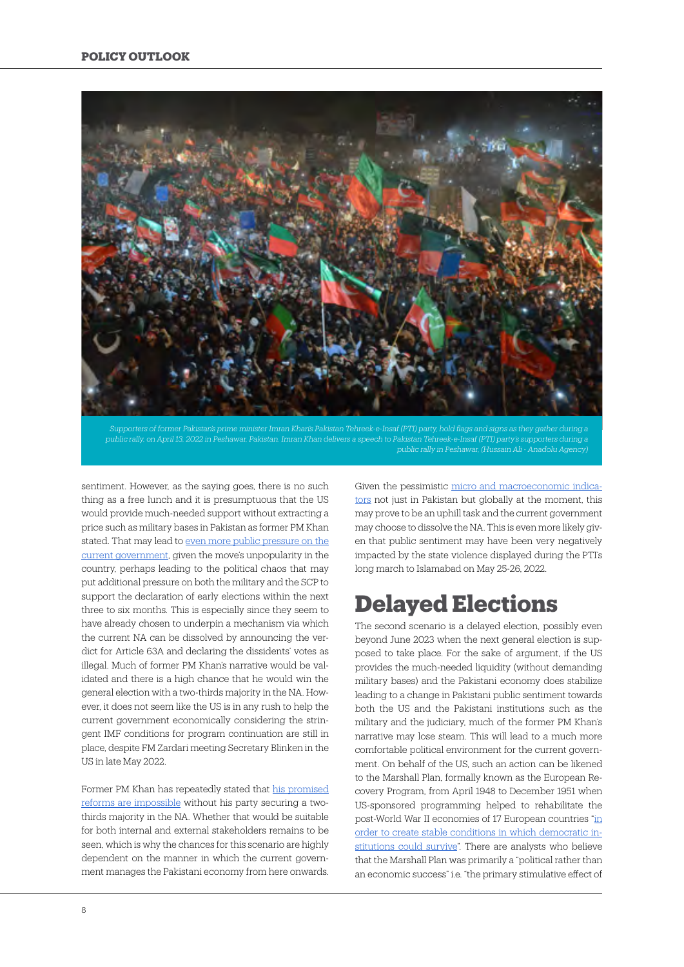![](_page_7_Picture_1.jpeg)

*Supporters of former Pakistan's prime minister Imran Khan's Pakistan Tehreek-e-Insaf (PTI) party, hold flags and signs as they gather during a public rally, on April 13, 2022 in Peshawar, Pakistan. Imran Khan delivers a speech to Pakistan Tehreek-e-Insaf (PTI) party's supporters during a* 

sentiment. However, as the saying goes, there is no such thing as a free lunch and it is presumptuous that the US would provide much-needed support without extracting a price such as military bases in Pakistan as former PM Khan stated. That may lead to [even more public pressure on the](https://www.humanitarianlibrary.org/sites/default/files/2014/02/TheDroneWar4-4-12.pdf) [current government](https://www.humanitarianlibrary.org/sites/default/files/2014/02/TheDroneWar4-4-12.pdf), given the move's unpopularity in the country, perhaps leading to the political chaos that may put additional pressure on both the military and the SCP to support the declaration of early elections within the next three to six months. This is especially since they seem to have already chosen to underpin a mechanism via which the current NA can be dissolved by announcing the verdict for Article 63A and declaring the dissidents' votes as illegal. Much of former PM Khan's narrative would be validated and there is a high chance that he would win the general election with a two-thirds majority in the NA. However, it does not seem like the US is in any rush to help the current government economically considering the stringent IMF conditions for program continuation are still in place, despite FM Zardari meeting Secretary Blinken in the US in late May 2022.

Former PM Khan has repeatedly stated that [his promised](https://www.dawn.com/news/1674961) [reforms are impossible](https://www.dawn.com/news/1674961) without his party securing a twothirds majority in the NA. Whether that would be suitable for both internal and external stakeholders remains to be seen, which is why the chances for this scenario are highly dependent on the manner in which the current government manages the Pakistani economy from here onwards.

Given the pessimistic [micro and macroeconomic indica](https://www.theguardian.com/business/2022/feb/10/the-rise-in-global-inflation-the-hit-to-living-standards-across-the-world)[tors](https://www.theguardian.com/business/2022/feb/10/the-rise-in-global-inflation-the-hit-to-living-standards-across-the-world) not just in Pakistan but globally at the moment, this may prove to be an uphill task and the current government may choose to dissolve the NA. This is even more likely given that public sentiment may have been very negatively impacted by the state violence displayed during the PTI's long march to Islamabad on May 25-26, 2022.

# **Delayed Elections**

The second scenario is a delayed election, possibly even beyond June 2023 when the next general election is supposed to take place. For the sake of argument, if the US provides the much-needed liquidity (without demanding military bases) and the Pakistani economy does stabilize leading to a change in Pakistani public sentiment towards both the US and the Pakistani institutions such as the military and the judiciary, much of the former PM Khan's narrative may lose steam. This will lead to a much more comfortable political environment for the current government. On behalf of the US, such an action can be likened to the Marshall Plan, formally known as the European Recovery Program, from April 1948 to December 1951 when US-sponsored programming helped to rehabilitate the post-World War II economies of 17 European countries ["in](https://www.britannica.com/event/Marshall-Plan#:~:text=Marshall%20Plan%2C%20formally%20European%20Recovery,which%20democratic%20institutions%20could%20survive.) [order to create stable conditions in which democratic in](https://www.britannica.com/event/Marshall-Plan#:~:text=Marshall%20Plan%2C%20formally%20European%20Recovery,which%20democratic%20institutions%20could%20survive.)[stitutions could survive](https://www.britannica.com/event/Marshall-Plan#:~:text=Marshall%20Plan%2C%20formally%20European%20Recovery,which%20democratic%20institutions%20could%20survive.)". There are analysts who believe that the Marshall Plan was primarily a "political rather than an economic success" i.e. "the primary stimulative effect of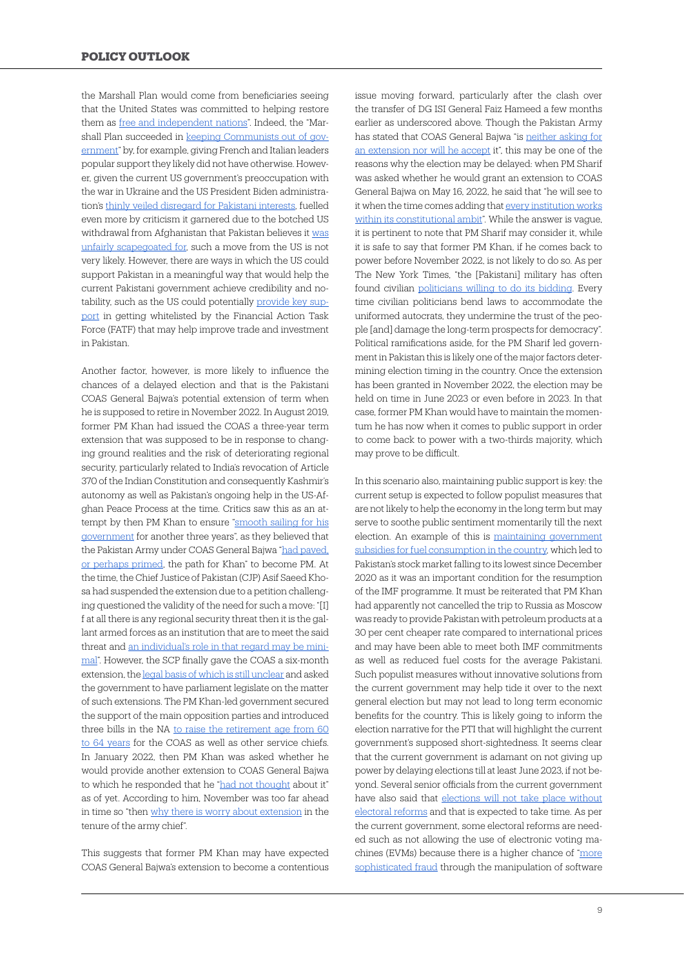the Marshall Plan would come from beneficiaries seeing that the United States was committed to helping restore them as [free and independent nations](https://networks.h-net.org/node/28443/reviews/2265676/heer-steil-marshall-plan-dawn-cold-war)". Indeed, the "Marshall Plan succeeded in [keeping Communists out of gov](https://networks.h-net.org/node/28443/reviews/2265676/heer-steil-marshall-plan-dawn-cold-war)[ernment](https://networks.h-net.org/node/28443/reviews/2265676/heer-steil-marshall-plan-dawn-cold-war)" by, for example, giving French and Italian leaders popular support they likely did not have otherwise. However, given the current US government's preoccupation with the war in Ukraine and the US President Biden administration's [thinly veiled disregard for Pakistani interests,](https://www.brookings.edu/blog/order-from-chaos/2021/04/12/under-biden-pakistan-and-the-us-face-a-dilemma-about-the-breadth-of-their-relationship/) fuelled even more by criticism it garnered due to the botched US withdrawal from Afghanistan that Pakistan believes it [was](https://www.eastasiaforum.org/2022/03/01/pakistan-and-the-united-states-are-turning-into-strangers/) [unfairly scapegoated for](https://www.eastasiaforum.org/2022/03/01/pakistan-and-the-united-states-are-turning-into-strangers/), such a move from the US is not very likely. However, there are ways in which the US could support Pakistan in a meaningful way that would help the current Pakistani government achieve credibility and notability, such as the US could potentially [provide key sup](https://thediplomat.com/2021/06/will-pakistan-get-off-fatfs-grey-list/)[port](https://thediplomat.com/2021/06/will-pakistan-get-off-fatfs-grey-list/) in getting whitelisted by the Financial Action Task Force (FATF) that may help improve trade and investment in Pakistan.

Another factor, however, is more likely to influence the chances of a delayed election and that is the Pakistani COAS General Bajwa's potential extension of term when he is supposed to retire in November 2022. In August 2019, former PM Khan had issued the COAS a three-year term extension that was supposed to be in response to changing ground realities and the risk of deteriorating regional security, particularly related to India's revocation of Article 370 of the Indian Constitution and consequently Kashmir's autonomy as well as Pakistan's ongoing help in the US-Afghan Peace Process at the time. Critics saw this as an attempt by then PM Khan to ensure "[smooth sailing for his](https://www.brookings.edu/blog/order-from-chaos/2019/12/04/the-curious-case-of-the-pakistani-army-chiefs-extension/) [government](https://www.brookings.edu/blog/order-from-chaos/2019/12/04/the-curious-case-of-the-pakistani-army-chiefs-extension/) for another three years", as they believed that the Pakistan Army under COAS General Bajwa ["had paved,](https://www.brookings.edu/blog/order-from-chaos/2019/12/04/the-curious-case-of-the-pakistani-army-chiefs-extension/) [or perhaps primed,](https://www.brookings.edu/blog/order-from-chaos/2019/12/04/the-curious-case-of-the-pakistani-army-chiefs-extension/) the path for Khan" to become PM. At the time, the Chief Justice of Pakistan (CJP) Asif Saeed Khosa had suspended the extension due to a petition challenging questioned the validity of the need for such a move: "[I] f at all there is any regional security threat then it is the gallant armed forces as an institution that are to meet the said threat and [an individual's role in that regard may be mini](https://www.brookings.edu/blog/order-from-chaos/2019/12/04/the-curious-case-of-the-pakistani-army-chiefs-extension/)[mal"](https://www.brookings.edu/blog/order-from-chaos/2019/12/04/the-curious-case-of-the-pakistani-army-chiefs-extension/). However, the SCP finally gave the COAS a six-month extension, the [legal basis of which is still unclear](https://www.brookings.edu/blog/order-from-chaos/2019/12/04/the-curious-case-of-the-pakistani-army-chiefs-extension/) and asked the government to have parliament legislate on the matter of such extensions. The PM Khan-led government secured the support of the main opposition parties and introduced three bills in the NA [to raise the retirement age from 60](https://www.brookings.edu/blog/order-from-chaos/2019/12/04/the-curious-case-of-the-pakistani-army-chiefs-extension/) [to 64 years](https://www.brookings.edu/blog/order-from-chaos/2019/12/04/the-curious-case-of-the-pakistani-army-chiefs-extension/) for the COAS as well as other service chiefs. In January 2022, then PM Khan was asked whether he would provide another extension to COAS General Bajwa to which he responded that he ["had not thought](https://www.dawn.com/news/1668069) about it" as of yet. According to him, November was too far ahead in time so "then [why there is worry about extension](https://www.dawn.com/news/1668069) in the tenure of the army chief".

This suggests that former PM Khan may have expected COAS General Bajwa's extension to become a contentious

issue moving forward, particularly after the clash over the transfer of DG ISI General Faiz Hameed a few months earlier as underscored above. Though the Pakistan Army has stated that COAS General Bajwa "is [neither asking for](https://www.hindustantimes.com/world-news/pakistan-pm-labels-extension-of-army-chief-tenure-talks-as-premature-report-101652054081816.html) [an extension nor will he accept](https://www.hindustantimes.com/world-news/pakistan-pm-labels-extension-of-army-chief-tenure-talks-as-premature-report-101652054081816.html) it", this may be one of the reasons why the election may be delayed: when PM Sharif was asked whether he would grant an extension to COAS General Bajwa on May 16, 2022, he said that "he will see to it when the time comes adding that [every institution works](https://www.hindustantimes.com/world-news/pakistan-pm-labels-extension-of-army-chief-tenure-talks-as-premature-report-101652054081816.html) [within its constitutional ambit"](https://www.hindustantimes.com/world-news/pakistan-pm-labels-extension-of-army-chief-tenure-talks-as-premature-report-101652054081816.html). While the answer is vague, it is pertinent to note that PM Sharif may consider it, while it is safe to say that former PM Khan, if he comes back to power before November 2022, is not likely to do so. As per The New York Times, "the [Pakistani] military has often found civilian [politicians willing to do its bidding](https://www.nytimes.com/2020/01/23/opinion/pakistan-politicians-military.html). Every time civilian politicians bend laws to accommodate the uniformed autocrats, they undermine the trust of the people [and] damage the long-term prospects for democracy". Political ramifications aside, for the PM Sharif led government in Pakistan this is likely one of the major factors determining election timing in the country. Once the extension has been granted in November 2022, the election may be held on time in June 2023 or even before in 2023. In that case, former PM Khan would have to maintain the momentum he has now when it comes to public support in order to come back to power with a two-thirds majority, which may prove to be difficult.

In this scenario also, maintaining public support is key: the current setup is expected to follow populist measures that are not likely to help the economy in the long term but may serve to soothe public sentiment momentarily till the next election. An example of this is [maintaining government](https://www.dawn.com/news/1689959/another-meltdown-as-psx-sheds-over-1000-points-after-govt-maintains-fuel-subsidies) [subsidies for fuel consumption in the country,](https://www.dawn.com/news/1689959/another-meltdown-as-psx-sheds-over-1000-points-after-govt-maintains-fuel-subsidies) which led to Pakistan's stock market falling to its lowest since December 2020 as it was an important condition for the resumption of the IMF programme. It must be reiterated that PM Khan had apparently not cancelled the trip to Russia as Moscow was ready to provide Pakistan with petroleum products at a 30 per cent cheaper rate compared to international prices and may have been able to meet both IMF commitments as well as reduced fuel costs for the average Pakistani. Such populist measures without innovative solutions from the current government may help tide it over to the next general election but may not lead to long term economic benefits for the country. This is likely going to inform the election narrative for the PTI that will highlight the current government's supposed short-sightedness. It seems clear that the current government is adamant on not giving up power by delaying elections till at least June 2023, if not beyond. Several senior officials from the current government have also said that [elections will not take place without](https://www.dawn.com/news/1689138) [electoral reforms](https://www.dawn.com/news/1689138) and that is expected to take time. As per the current government, some electoral reforms are needed such as not allowing the use of electronic voting machines (EVMs) because there is a higher chance of "[more](https://www.thenews.com.pk/latest/890698-more-sophisticated-fraud-in-election-can-take-place-through-evm-ecp) [sophisticated fraud](https://www.thenews.com.pk/latest/890698-more-sophisticated-fraud-in-election-can-take-place-through-evm-ecp) through the manipulation of software